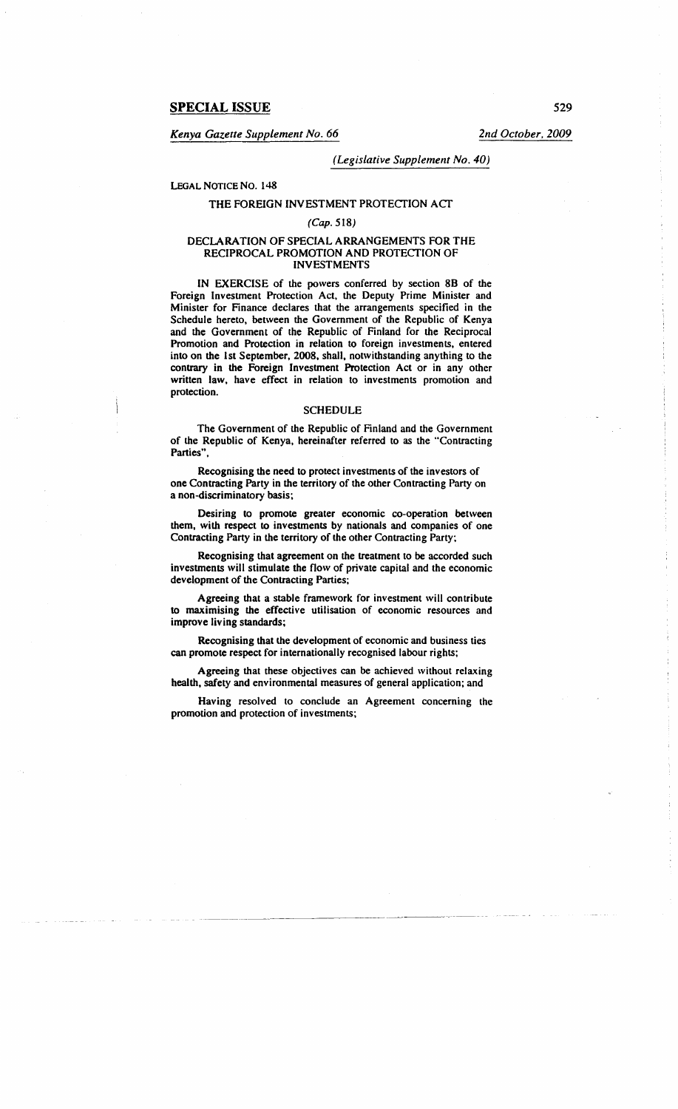*Kenya Gazette Supplement No. 66 2nd October, 2009* 

## *(Legislative Supplement No. 40)*

# LEGAL NOTICE No. 148

# THE FOREIGN INVESTMENT PROTECTION ACT

### (Cap. 518)

## DECLARATION OF SPECIAL ARRANGEMENTS FOR THE RECIPROCAL PROMOTION AND PROTECfiON OF INVESTMENTS

IN EXERCISE of the powers conferred by section 88 of the Foreign Investment Protection Act, the Deputy Prime Minister and Minister for Finance declares that the arrangements specified in the Schedule hereto, between the Government of the Republic of Kenya and the Government of the Republic of Finland for the Reciprocal Promotion and Protection in relation to foreign investments, entered into on the 1st September, 2008, shall, notwithstanding anything to the contrary in the Foreign Investment Protection Act or in any other written law, have effect in relation to investments promotion and protection.

#### **SCHEDULE**

The Government of the Republic of Finland and the Government of the Republic of Kenya, hereinafter referred to as the "Contracting Parties",

Recognising the need to protect investments of the investors of one Contracting Party in the territory of the other Contracting Party on a non-discriminatory basis;

Desiring to promote greater economic co-operation between them, with respect to investments by nationals and companies of one Contracting Party in the territory of the other Contracting Party;

Recognising that agreement on the treatment to be accorded such investments will stimulate the flow of private capital and the economic development of the Contracting Parties;

Agreeing that a stable framework for investment will contribute to maximising the effective utilisation of economic resources and improve living standards;

Recognising that the development of economic and business ties can promote respect for internationally recognised labour rights;

Agreeing that these objectives can be achieved without relaxing health, safety and environmental measures of general application; and

Having resolved to conclude an Agreement concerning the promotion and protection of investments;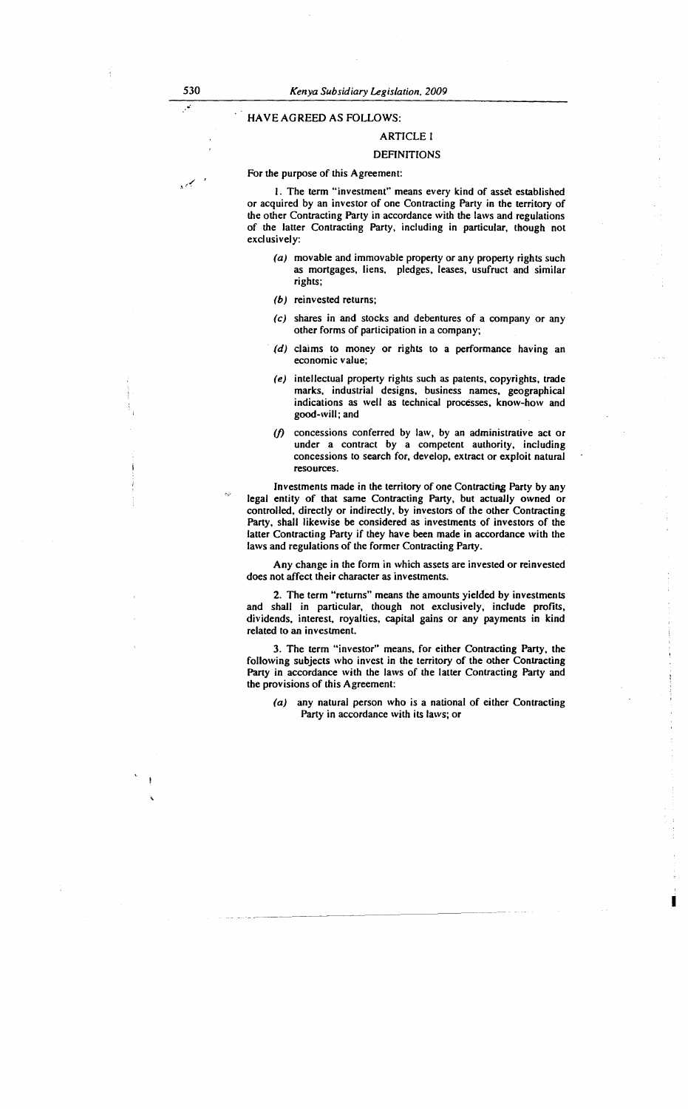# HAVE AGREED AS FOLLOWS:

#### ARTICLE I

# DEFINITIONS

For the purpose of this Agreement:

I. The term "investment" means every kind of assel established or acquired by an investor of one Contracting Party in the territory of the other Contracting Party in accordance with the laws and regulations of the latter Contracting Party, including in particular, though not exclusively:

- (a) movable and immovable property or any property rights such as mortgages, liens, pledges, leases, usufruct and similar rights;
- (b) reinvested returns;
- (c) shares in and stocks and debentures of a company or any other forms of participation in a company;
- $(d)$  claims to money or rights to a performance having an economic value;
- (e) intellectual property rights such as patents, copyrights, trade marks, industrial designs, business names, geographical indications as well as technical processes, know-how and good-will; and
- *(/)* concessions conferred by law, by an administrative act or under a contract by a competent authority, including concessions to search for, develop, extract or exploit natural resources.

Investments made in the territory of one Contracting Party by any legal entity of that same Contracting Party, but actually owned or controlled, directly or indirectly, by investors of the other Contracting Party, shall likewise be considered as investments of investors of the latter Contracting Party if they have been made in accordance with the laws and regulations of the former Contracting Party.

Any change in the form in which assets are invested or reinvested does not affect their character as investments.

2. The term "returns" means the amounts yielded by investments and shall in particular, though not exclusively, include profits, dividends, interest, royalties, capital gains or any payments in kind related to an investment.

3. The term "investor" means, for either Contracting Party, the following subjects who invest in the territory of the other Contracting Party in accordance with the laws of the latter Contracting Party and the provisions of this Agreement:

(a) any natural person who is a national of either Contracting Party in accordance with its laws; or

I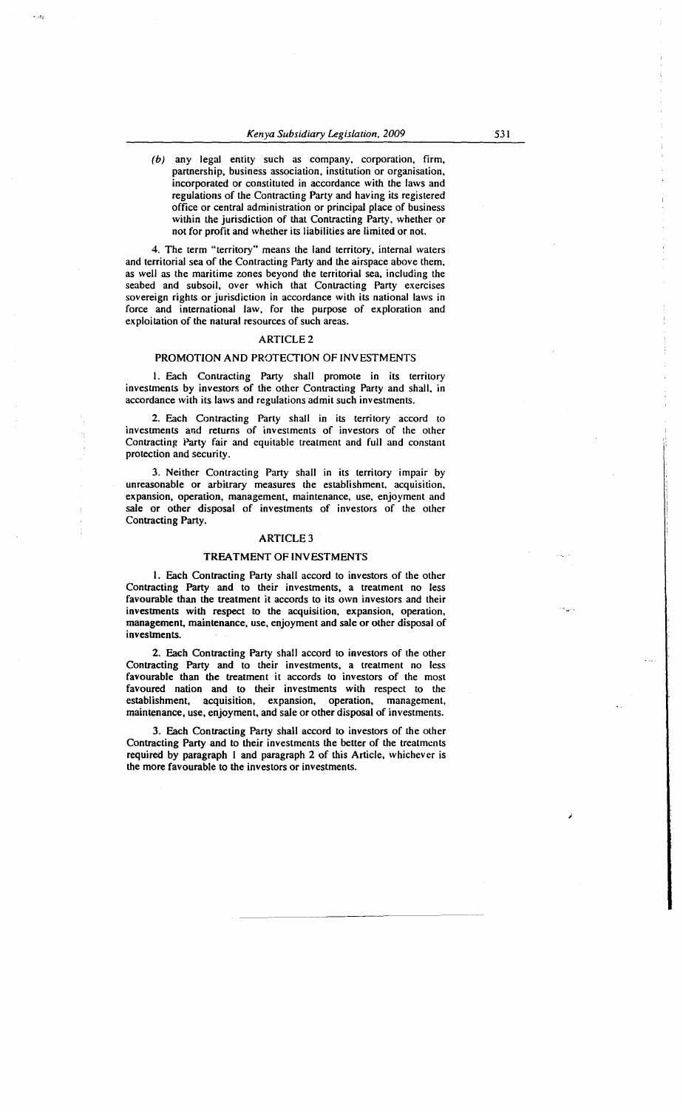(b) any legal entity such as company, corporation, firm, partnership, business association, institution or organisation, incorporated or constituted in accordance with the laws and regulations of the Contracting Party and having its registered office or central administration or principal place of business within the jurisdiction of that Contracting Party, whether or not for profit and whether its liabilities are limited or not.

4. The term "territory" means the land territory, internal waters and territorial sea of the Contracting Party and the airspace above them, as well as the maritime zones beyond the territorial sea, including the seabed and subsoil, over which that Contracting Party exercises sovereign rights or jurisdiction in accordance with its national laws in force and international law, for the purpose of exploration and exploitation of the natural resources of such areas.

# ARTICLE2

# PROMOTION AND PROTECTION OF INVESTMENTS

1. Each Contracting Party shall promote in its territory investments by investors of the other Contracting Party and shall, in accordance with its laws and regulations admit such investments.

2. Each Contracting Party shall in its territory accord to investments and returns of investments of investors of the other Contracting Party fair and equitable treatment and full and constant protection and security.

3. Neither Contracting Party shall in its territory impair by unreasonable or arbitrary measures the establishment, acquisition, expansion, operation, management, maintenance, use, enjoyment and sale or other disposal of investments of investors of the other Contracting Party.

#### ARTICLE3

#### TREATMENT OF INVESTMENTS

I. Each Contracting Party shall accord to investors of the other Contracting Party and to their investments, a treatment no less favourable than the treatment it accords to its own investors and their investments with respect to the acquisition. expansion, operation, management, maintenance, use, enjoyment and sale or other disposal of investments.

2. Each Contracting Party shall accord to investors of the other Contracting Party and to their investments, a treatment no less favourable than the treatment it accords to investors of the most favoured nation and to their investments with respect to the establishment, acquisition, expansion, operation, management, maintenance, use, enjoyment, and sale or other disposal of investments.

3. Each Contracting Party shall accord to investors of the other Contracting Party and to their investments the better of the treatments required by paragraph I and paragraph 2 of this Article, whichever is the more favourable to the investors or investments.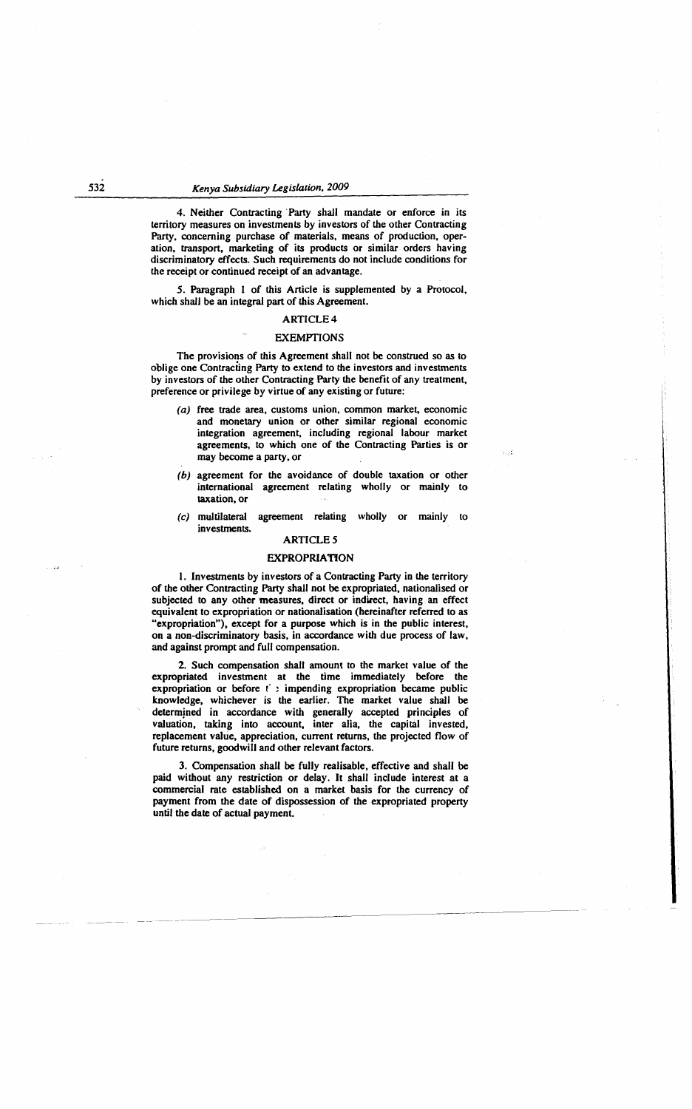# 532 *Kenya Subsidiary Legislation, 2009*

4. Neither Contracting Party shall mandate or enforce in its territory measures on investments by investors of the other Contracting Party, concerning purchase of materials, means of production, operation, transport, marketing of its products or similar orders having discriminatory effects. Such requirements do not include conditions for the receipt or continued receipt of an advantage.

*5.* Paragraph 1 of this Article is supplemented by a Protocol, which shall be an integral part of this Agreement.

#### ARTICLE4

# EXEMPTIONS

The provisions of this Agreement shall not be construed so as to oblige one Contracting Party to extend to the investors and investments by investors of the other Contracting Party the benefit of any treatment, preference or privilege by virtue of any existing or future:

(a) free trade area, customs union, common market, economic and monetary union or other similar regional economic integration agreement, including regional labour market agreements, to which one of the Contracting Parties is or may become a party, or

',:

- (b) agreement for the avoidance of double taxation or other international agreement relating wholly or mainly to taxation, or
- (c) multilateral agreement relating wholly or mainly to investments.

# **ARTICLE 5**

#### **EXPROPRIATION**

1. Investments by investors of a Contracting Party in the territory of the other Contracting Party shall not be expropriated, nationalised or subjected to any other measures, direct or indirect, having an effect equivalent to expropriation or nationalisation (hereinafter referred to as "expropriation"), except for a purpose which is in the public interest, on a non-discriminatory basis, in accordance with due process of law, and against prompt and full compensation.

2. Such compensation shall amount to the market value of the expropriated investment at the time immediately before the expropriation or before  $f$ : impending expropriation became public knowledge, whichever is the earlier. The market value shall be determined in accordance with generally accepted principles of valuation, taking into account, inter alia, the capital invested, replacement value, appreciation, current returns, the projected flow of future returns, goodwill and other relevant factors.

3. Compensation shall be fully realisable, effective and shall be paid without any restriction or delay. It shall include interest at a commercial rate established on a market basis for the currency of payment from the date of dispossession of the expropriated property until the date of actual payment.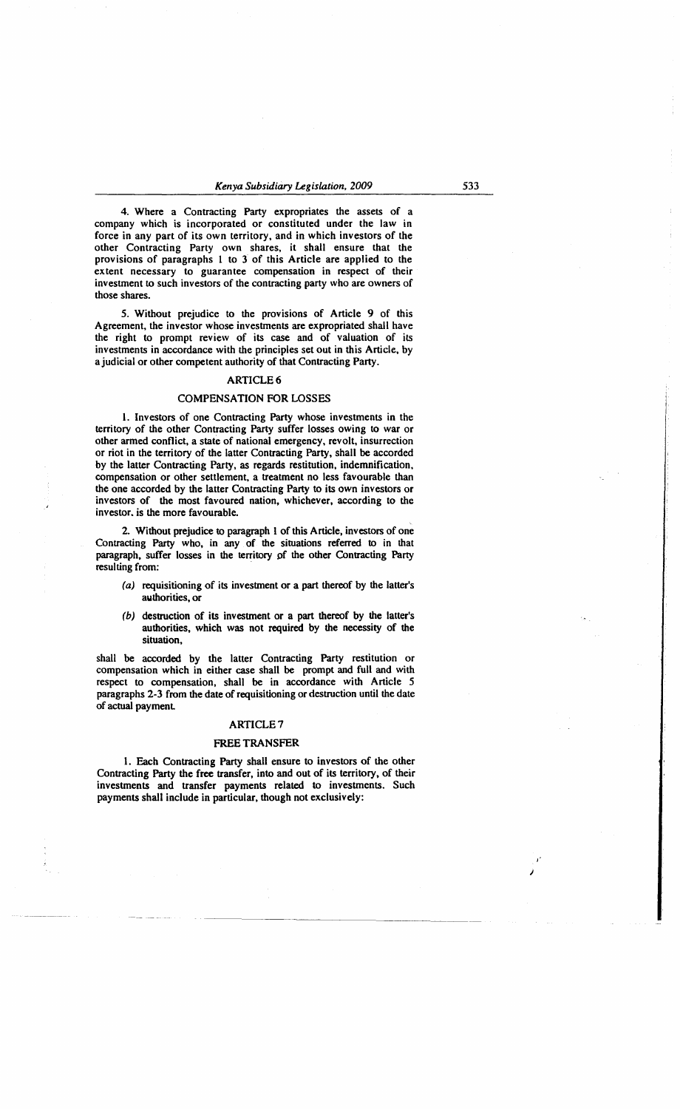4. Where a Contracting Party expropriates the assets of a company which is incorporated or constituted under the law in force in any part of its own territory, and in which investors of the other Contracting Party own shares, it shall ensure that the provisions of paragraphs 1 to 3 of this Article are applied to the extent necessary to guarantee compensation in respect of their investment to such investors of the contracting party who are owners of those shares.

*5.* Without prejudice to the provisions of Article 9 of this Agreement, the investor whose investments are expropriated shall have the right to prompt review of its case and of valuation of its investments in accordance with the principles set out in this Article, by a judicial or other competent authority of that Contracting Party.

## ARTICLE6

# COMPENSATION FOR LOSSES

1. Investors of one Contracting Party whose investments in the territory of the other Contracting Party suffer losses owing to war or other armed conflict, a state of national emergency, revolt, insurrection or riot in the territory of the latter Contracting Party, shall be accorded by the latter Contracting Party, as regards restitution, indemnification, compensation or other settlement, a treatment no less favourable than the one accorded by the latter Contracting Party to its own investors or investors of the most favoured nation, whichever, according to the investor. is the more favourable.

2. Without prejudice to paragraph 1 of this Article, investors of one Contracting Party who, in any of the situations referred to in that paragraph, suffer losses in the territory of the other Contracting Party resulting from:

- (a) requisitioning of its investment or a part thereof by the latter's authorities, or
- (b) destruction of its investment or a part thereof by the latter's authorities, which was not required by the necessity of the situation,

shall be accorded by the latter Contracting Party restitution or compensation which in either case shall be prompt and full and with respect to compensation, shall be in accordance with Article *5*  paragraphs 2-3 from the date of requisitioning or destruction until the date of actual payment

# ARTICLE?

#### FREE TRANSFER

1. Each Contracting Party shall ensure to investors of the other Contracting Party the free transfer, into and out of its territory, of their investments and transfer payments related to investments. Such payments shall include in particular, though not exclusively:

,. J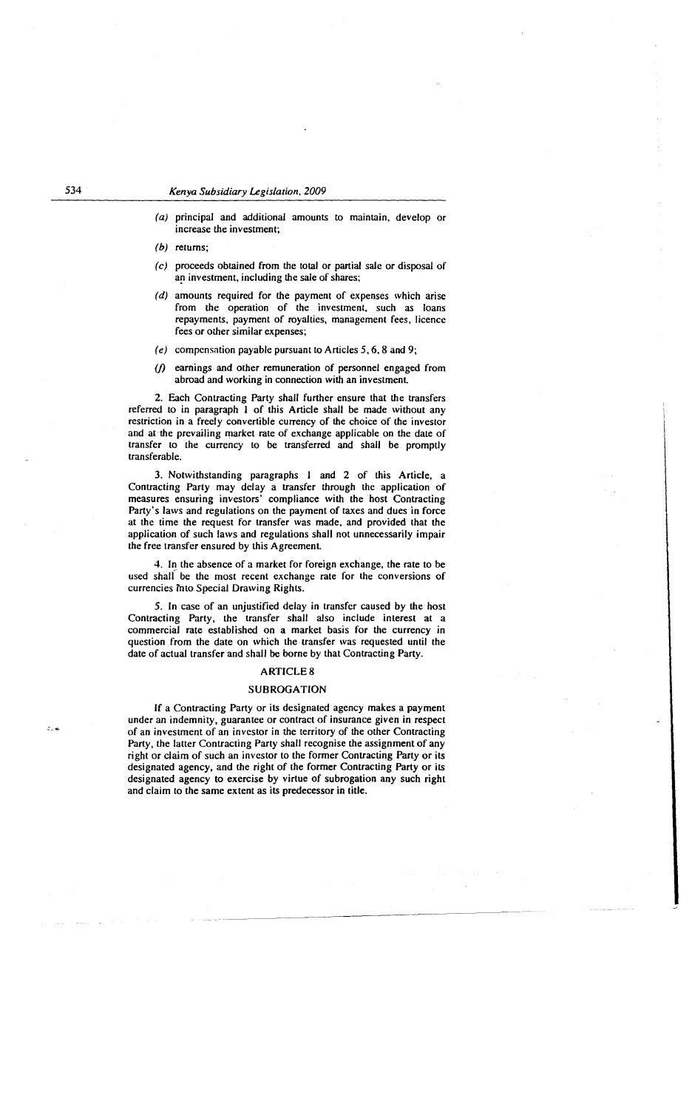(a) principal and additional amounts to maintain, develop or increase the investment;

(b) returns:

- (c) proceeds obtained from the total or partial sale or disposal of an investment, including the sale of shares;
- (d) amounts required for the payment of expenses which arise from the operation of the investment, such as loans repayments, payment of royalties, management fees, licence fees or other similar expenses;
- (e) compensation payable pursuant to Articles 5, 6, 8 and 9;
- *(/)* earnings and other remuneration of personnel engaged from abroad and working in connection with an investment.

2. Each Contracting Party shall further ensure that the transfers referred to in paragraph I of this Article shall be made without any restriction in a freely convertible currency of the choice of the investor and at the prevailing market rate of exchange applicable on the date of transfer to the currency to be transferred and shall be promptly transferable.

3. Notwithstanding paragraphs I and 2 of this Article, a Contracting Party may delay a transfer through the application of measures ensuring investors' compliance with the host Contracting Party's laws and regulations on the payment of taxes and dues in force at the time the request for transfer was made, and provided that the application of such laws and regulations shall not unnecessarily impair the free transfer ensured by this Agreement.

4. In the absence of a market for foreign exchange, the rate to be used shalf be the most recent exchange rate for the conversions of currencies into Special Drawing Rights.

5. In case of an unjustified delay in transfer caused by the host Contracting Party, the transfer shall also include interest at a commercial rate established on a market basis for the currency in question from the date on which the transfer was requested until the date of actual transfer and shall be borne by that Contracting Party.

# ARTICLES

## SUBROGATION

If a Contracting Party or its designated agency makes a payment under an indemnity, guarantee or contract of insurance given in respect of an investment of an investor in the territory of the other Contracting Party, the latter Contracting Party shall recognise the assignment of any right or claim of such an investor to the former Contracting Party or its designated agency, and the right of the former Contracting Party or its designated agency to exercise by virtue of subrogation any such right and claim to the same extent as its predecessor in title.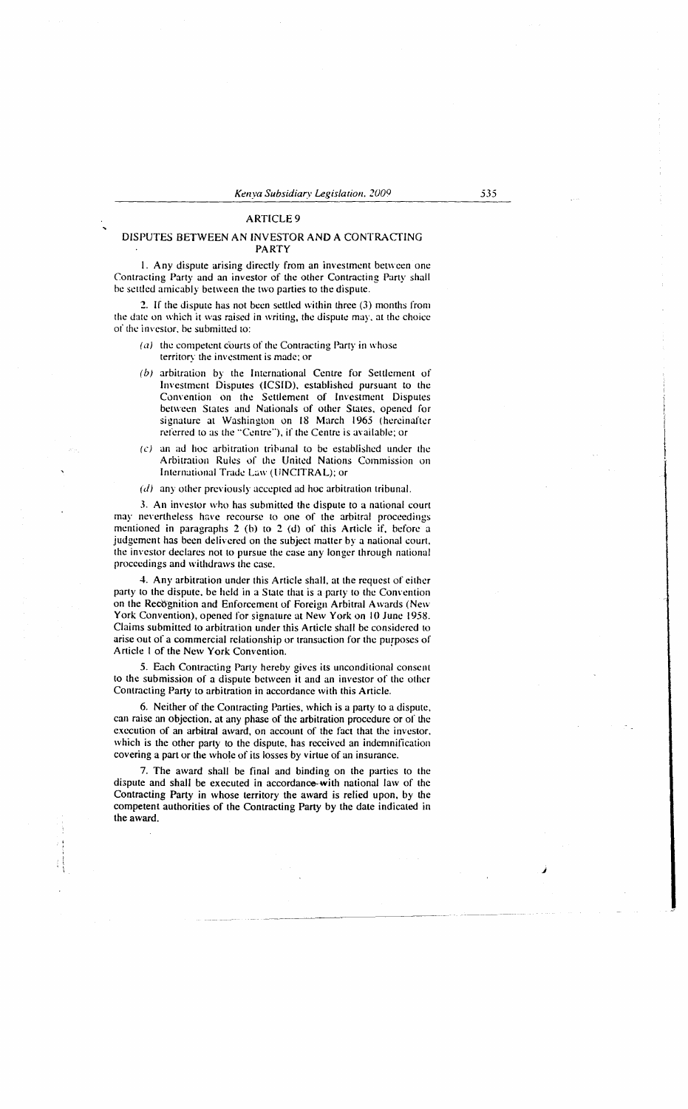# **ARTICLE 9**

# DISPUTES BETWEEN AN INVESTOR AND A CONTRACTING PARTY

I. Any dispute arising directly from an investment between one Contracting Party and an investor of the other Contracting Party shall be settled amicably between the two parties to the dispute.

2. If the dispute has not been settled within three (3) months from the date on which it was raised in writing, the dispute may. at the choice of the investor, be submitted to:

- $(a)$  the competent courts of the Contracting Party in whose territory the investment is made; or
- (b) arbitration by the International Centre for Settlement of Investment Disputes (ICSID), established pursuant to the Convention on the Settlement of Investment Disputes between States and Nationals of other States, opened for signature at Washington on 18 March 1965 (hereinafter referred to as the "Centre"), if the Centre is available; or
- $(c)$  an ad hoc arbitration tribunal to be established under the Arbitration Rules of the United Nations Commission on International Trade Law (UNCITRAL); or
- $(d)$  any other previously accepted ad hoc arbitration tribunal.

*3.* An investor who has submitted the dispute to a national court may nevertheless have recourse to one of the arbitral proceedings mentioned in paragraphs 2 (b) to 2 (d) of this Article if, before a judgement has been delivered on the subject matter by a national court. the investor declares not to pursue the case any longer through national proceedings and withdraws the case.

4. Any arbitration under this Article shall, at the request of either party to the dispute. be held in a State that is a party to the Convention on the Recognition and Enforcement of Foreign Arbitral Awards (New York Convention), opened for signature at New York on 10 June 1958. Claims submitted to arbitration under this Article shall be considered to arise out of a commercial relationship or transaction for the purposes of Article I of the New York Convention.

*5.* Each Contracting Party hereby gives its unconditional consent to the submission of a dispute between it and an investor of the other Contracting Party to arbitration in accordance with this Article.

6. Neither of the Contracting Parties, which is a party to a dispute, can raise an objection. at any phase of the arbitration procedure or of the execution of an arbitral award, on account of the fact that the investor. which is the other party to the dispute, has received an indemnification covering a part or the whole of its losses by virtue of an insurance.

7. The award shall be final and binding on the parties to the dispute and shall be executed in accordance-with national law of the Contracting Party in whose territory the award is relied upon, by the competent authorities of the Contracting Party by the date indicated in the award.

j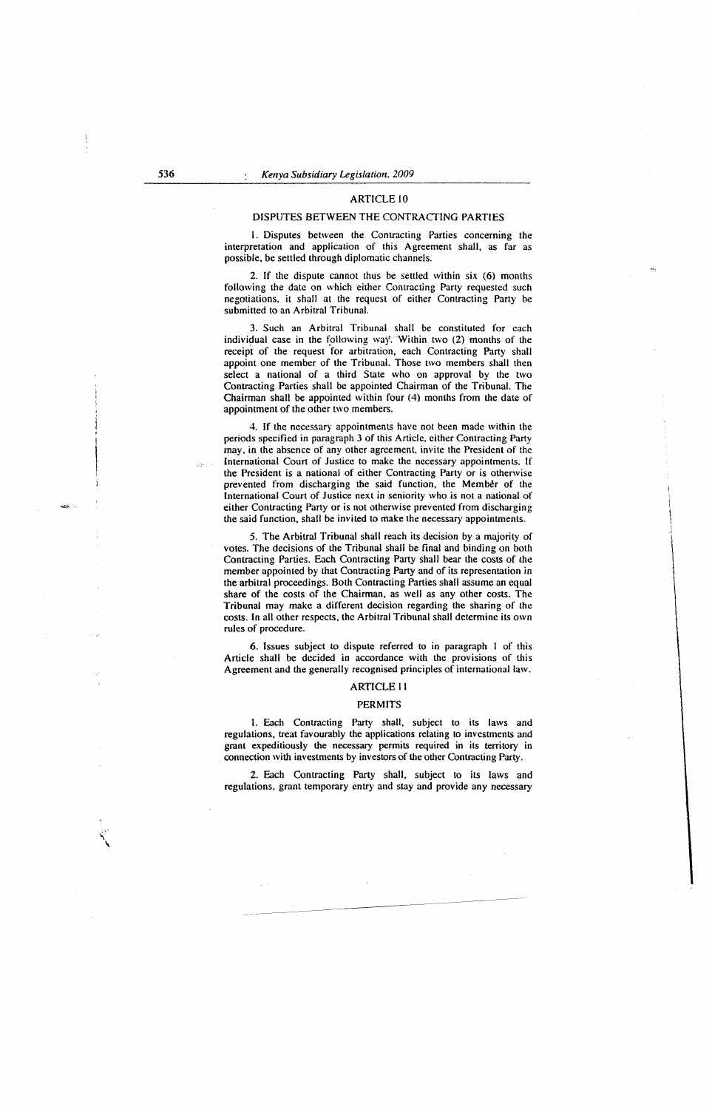#### ARTICLE 10

#### DISPUTES BETWEEN THE CONTRACTING PARTIES

I. Disputes between the Contracting Parties concerning the interpretation and application of this Agreement shall, as far as possible, be settled through diplomatic channels.

2. If the dispute cannot thus be settled within six (6) months following the date on which either Contracting Party requested such negotiations, it shall at the request of either Contracting Party be submitted to an Arbitral Tribunal.

3. Such an Arbitral Tribunal shall be constituted for each individual case in the following way. Within two  $(2)$  months of the receipt of the request for arbitration, each Contracting Party shall appoint one member of the Tribunal. Those two members shall then select a national of a third State who on approval by the two Contracting Parties shall be appointed Chairman of the Tribunal. The Chairman shall be appointed within four (4) months from the date of appointment of the other two members.

4. If the necessary appointments have not been made within the periods specified in paragraph 3 of this Article, either Contracting Party may, in the absence of any other agreement, invite the President of the International Court of Justice to make the necessary appointments. If the President is a national of either Contracting Party or is otherwise prevented from discharging the said function, the Member of the International Court of Justice next in seniority who is not a national of either Contracting Party or is not otherwise prevented from discharging the said function, shall be invited to make the necessary appointments.

*5.* The Arbitral Tribunal shall reach its decision by a majority of votes. The decisions of the Tribunal shall be final and binding on both Contracting Parties. Each Contracting Party shall bear the costs of the member appointed by that Contracting Party and of its representation in the arbitral proceedings. Both Contracting Parties shall assume an equal share of the costs of the Chairman, as well as any other costs. The Tribunal may make a different decision regarding the sharing of the costs. In all other respects, the Arbitral Tribunal shall determine its own rules of procedure.

6. Issues subject to dispute referred to in paragraph I of this Article shall be decided in accordance with the provisions of this Agreement and the generally recognised principles of international law.

#### ARTICLE II

#### PERMITS

1. Each Contracting Party shall, subject to its laws and regulations, treat favourably the applications relating to investments and grant expeditiously the necessary permits required in its territory in connection with investments by investors of the other Contracting Party.

2. Each Contracting Party shall, subject to its laws and regulations, grant temporary entry and stay and provide any necessary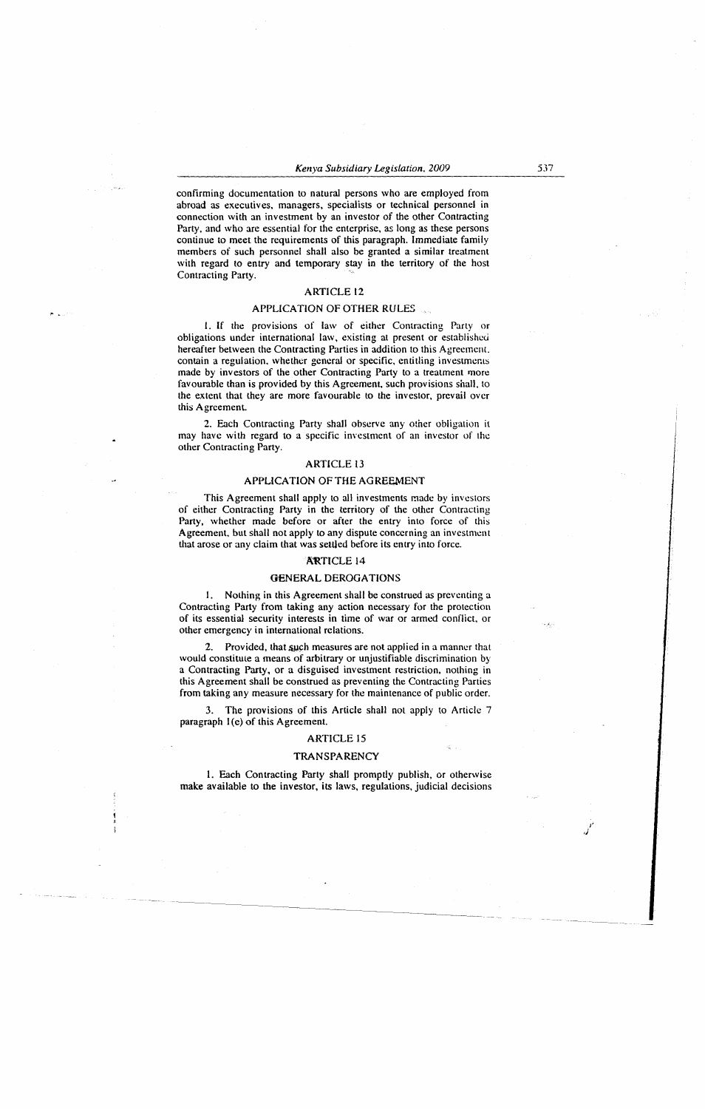confirming documentation to natural persons who are employed from abroad as executives, managers, specialists or technical personnel in connection with an investment by an investor of the other Contracting Party, and who are essential for the enterprise, as long as these persons continue to meet the requirements of this paragraph. Immediate family members of such personnel shall also be granted a similar treatment with regard to entry and temporary stay in the territory of the host Contracting Party.

## ARTICLE 12

# APPLICATION OF OTHER RULES

l. If the provisions of law of either Contracting Party or obligations under international law, existing at present or established hereafter between the Contracting Parties in addition to this Agreement. contain a regulation, whether general or specific, entitling investments made by investors of the other Contracting Party to a treatment more favourable than is provided by this Agreement, such provisions shall, to the extent that they are more favourable to the investor, prevail over this Agreement.

2. Each Contracting Party shall observe any other obligation it may have with regard to a specific investment of an investor of the other Contracting Party.

## ARTICLE 13

# APPLICATION OF THE AGREEMENT

This Agreement shall apply to all investments made by investors of either Contracting Party in the territory of the other Contracting Party, whether made before or after the entry into force of this Agreement, but shall not apply to any dispute concerning an investment that arose or any claim that was settled before its entry into force.

# **ARTICLE 14**

#### OENERAL DEROGATIONS

I. Nothing in this Agreement shall be construed as preventing a Contracting Party from taking any action necessary for the protection of its essential security interests in time of war or armed conflict, or other emergency in international relations.

Provided, that such measures are not applied in a manner that would constitute a means of arbitrary or unjustifiable discrimination by a Contracting Party, or a disguised investment restriction, nothing in this Agreement shall be construed as preventing the Contracting Parties from taking any measure necessary for the maintenance of public order.

3. The provisions of this Article shall not apply to Article 7 paragraph 1(e) of this Agreement.

# ARTICLE 15

#### **TRANSPARENCY**

l. Each Contracting Party shall promptly publish, or otherwise make available to the investor, its laws, regulations, judicial decisions

J' ,)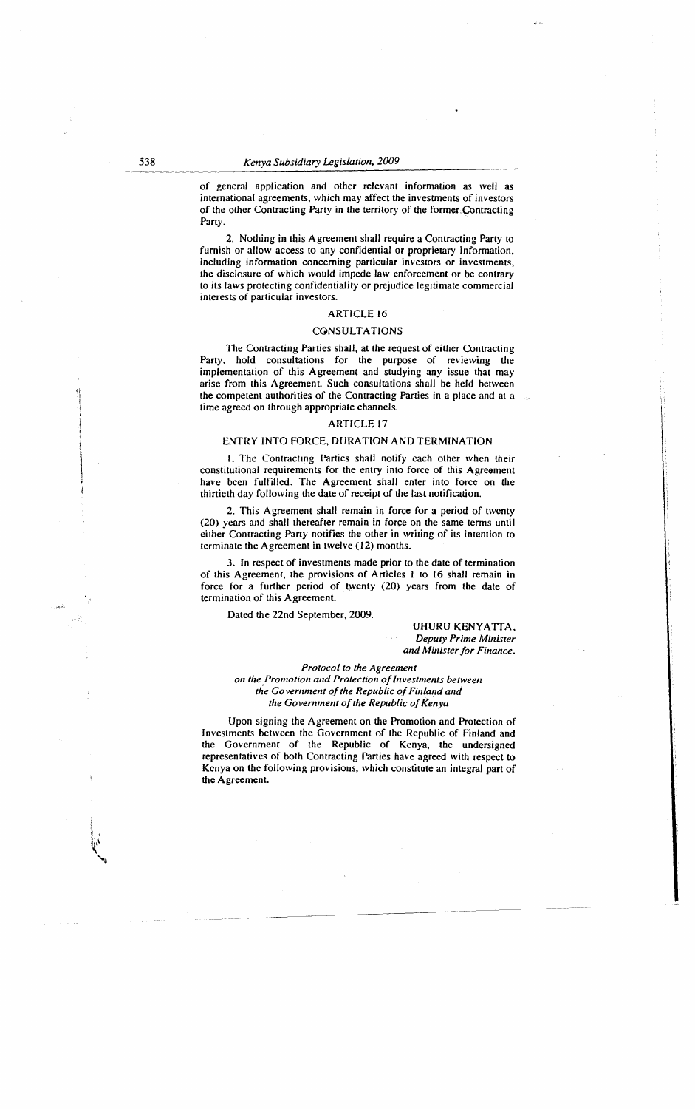of general application and other relevant information as well as international agreements, which may affect the investments of investors of the other Contracting Party in the territory of the former Contracting Party.

2. Nothing in this Agreement shall require a Contracting Party to furnish or allow access to any confidential or proprietary information, including information concerning particular investors or investments, the disclosure of which would impede law enforcement or be contrary to its laws protecting confidentiality or prejudice legitimate commercial interests of particular investors.

# ARTICLE 16

# **CONSULTATIONS**

The Contracting Parties shall, at the request of either Contracting Party, hold consultations for the purpose of reviewing the implementation of this Agreement and studying any issue that may arise from this Agreement. Such consultations shall be held between the competent authorities of the Contracting Parties in a place and at a time agreed on through appropriate channels.

#### ARTICLE 17

## ENTRY INTO FORCE, DURATION AND TERMINATION

I. The Contracting Parties shall notify each other when their constitutional requirements for the entry into force of this Agreement have been fulfilled. The Agreement shall enter into force on the thirtieth day following the date of receipt of the last notification.

2. This Agreement shall remain in force for a period of twenty (20) years and shall thereafter remain in force on the same terms until either Contracting Party notifies the other in writing of its intention to terminate the Agreement in twelve (12) months.

3. In respect of investments made prior to the date of termination of this Agreement, the provisions of Articles I to 16 shall remain in force for a further period of twenty (20) years from the date of termination of this Agreement.

Dated the 22nd September, 2009.

UHURU KENYATTA, *Deputy Prime Minister and Minister for Finance.* 

*Protocol to the Agreement* 

*on the Promotion and Protection of Investments between the Go vemmellt of the Republic of Finland and the Government of the Republic of Kenya* 

Upon signing the Agreement on the Promotion and Protection of Investments between the Government of the Republic of Finland and the Govcrnmenr of the Republic of Kenya, the undersigned representatives of both Contracting Parties have agreed with respect to Kenya on the following provisions, which constitute an integral part of the Agreement.

l

' *i*